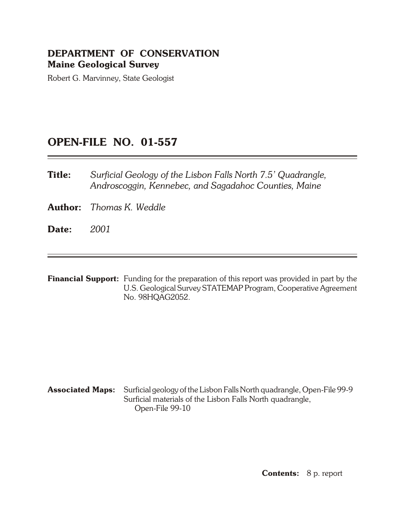### **DEPARTMENT OF CONSERVATION Maine Geological Survey**

Robert G. Marvinney, State Geologist

## **OPEN- FILE NO. 01-557**

**Title:** *Surficial Geology of the Lisbon Falls North 7.5' Quadrangle, An droscog gin, Ken ne bec, and Sa gada hoc Coun ties, Maine*

**Author:** *Thomas K. Weddle* 

**Date:** *2001*

**Financial Support:** Funding for the preparation of this report was provided in part by the U.S. Geological Survey STATEMAP Program, Cooperative Agreement No. 98HQAG2052.

### **Associated Maps:** Surficial geology of the Lisbon Falls North quadrangle, Open-File 99-9 Surficial materials of the Lisbon Falls North quadrangle, Open-File 99-10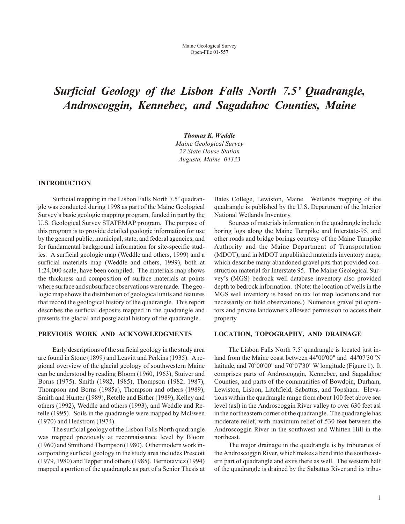# *Surficial Geology of the Lisbon Falls North 7.5' Quadrangle, Androscoggin, Kennebec, and Sagadahoc Counties, Maine*

*Tho mas K. Wed dle*

*Maine Geo logi cal Sur vey 22 State House Sta tion Augusta, Maine 04333*

#### **INTRODUCTION**

Surficial mapping in the Lisbon Falls North 7.5' quadrangle was conducted during 1998 as part of the Maine Geological Survey's basic geologic mapping program, funded in part by the U.S. Geological Survey STATEMAP program. The purpose of this program is to provide detailed geologic information for use by the general public; municipal, state, and federal agencies; and for fundamental background information for site-specific studies. A surficial geologic map (Weddle and others, 1999) and a surficial materials map (Weddle and others, 1999), both at 1:24,000 scale, have been compiled. The materials map shows the thickness and composition of surface materials at points where surface and subsurface observations were made. The geologic map shows the distribution of geological units and features that record the geological history of the quadrangle. This report describes the surficial deposits mapped in the quadrangle and presents the glacial and postglacial history of the quadrangle.

#### **PREVIOUS WORK AND ACKNOWLEDGMENTS**

Early descriptions of the surficial geology in the study area are found in Stone (1899) and Leavitt and Perkins (1935). A re gional overview of the glacial geology of south western Maine can be understood by reading Bloom (1960, 1963), Stuiver and Borns (1975), Smith (1982, 1985), Thompson (1982, 1987), Thompson and Borns (1985a), Thompson and others (1989), Smith and Hunter (1989), Retelle and Bither (1989), Kelley and others (1992), Weddle and others (1993), and Weddle and Retelle (1995). Soils in the quadrangle were mapped by McEwen (1970) and Hedstrom (1974).

The surficial geology of the Lisbon Falls North quadrangle was mapped previously at reconnaissance level by Bloom (1960) and Smith and Thompson (1980). Other modern work incorporating surficial geology in the study area includes Prescott  $(1979, 1980)$  and Tepper and others  $(1985)$ . Bernotavicz  $(1994)$ mapped a portion of the quadrangle as part of a Senior Thesis at Bates College, Lewiston, Maine. Wetlands mapping of the quadrangle is published by the U.S. Department of the Interior National Wetlands Inventory.

Sources of materials information in the quadrangle include boring logs along the Maine Turnpike and Interstate-95, and other roads and bridge borings courtesy of the Maine Turnpike Authority and the Maine Department of Transportation (MDOT), and in MDOT unpublished materials inventory maps, which describe many abandoned gravel pits that provided construction material for Interstate 95. The Maine Geological Survey's (MGS) bedrock well database inventory also provided depth to bedrock information. (Note: the location of wells in the MGS well inventory is based on tax lot map locations and not necessarily on field observations.) Numerous gravel pit operators and private landowners allowed permission to access their property.

#### **LOCATION, TOPOGRAPHY, AND DRAINAGE**

The Lisbon Falls North 7.5' quadrangle is located just inland from the Maine coast between 44°00'00" and 44°07'30"N latitude, and 70°00'00" and 70°07'30" W longitude (Figure 1). It comprises parts of Androscoggin, Kennebec, and Sagadahoc Counties, and parts of the communities of Bowdoin, Durham, Lewiston, Lisbon, Litchfield, Sabattus, and Topsham. Elevations within the quadrangle range from about 100 feet above sea level (asl) in the Androscoggin River valley to over 630 feet asl in the northeastern corner of the quadrangle. The quadrangle has moderate relief, with maximum relief of 530 feet between the Androscoggin River in the southwest and Whitten Hill in the northeast.

The major drainage in the quadrangle is by tributaries of the Androscoggin River, which makes a bend into the southeastern part of quadrangle and exits there as well. The western half of the quadrangle is drained by the Sabattus River and its tribu-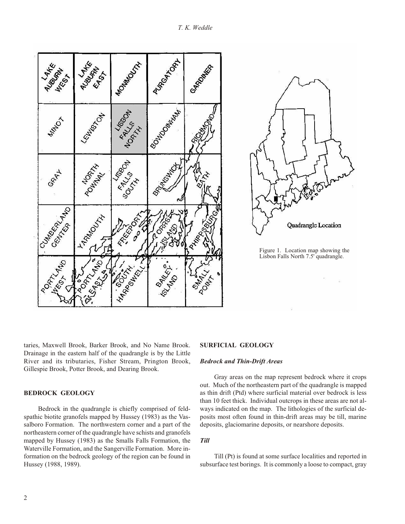

taries, Max well Brook, Barker Brook, and No Name Brook. Drainage in the eastern half of the quadrangle is by the Little River and its tributaries, Fisher Stream, Prington Brook, Gillespie Brook, Potter Brook, and Dearing Brook.

#### **BEDROCK GEOLOGY**

Bedrock in the quadrangle is chiefly comprised of feldspathic biotite granofels mapped by Hussey (1983) as the Vassalboro Formation. The northwestern corner and a part of the northeastern corner of the quadrangle have schists and granofels mapped by Hussey (1983) as the Smalls Falls Formation, the Waterville Formation, and the Sangerville Formation. More information on the bedrock geology of the region can be found in Hussey (1988, 1989).

#### **SURFICIAL GEOLOGY**

#### **Bedrock and Thin-Drift Areas**

Gray areas on the map represent bedrock where it crops out. Much of the northeastern part of the quadrangle is mapped as thin drift (Ptd) where surficial material over bedrock is less than 10 feet thick. Individual outcrops in these areas are not always indicated on the map. The lithologies of the surficial deposits most often found in thin-drift areas may be till, marine deposits, glaciomarine deposits, or nearshore deposits.

*Till*

Till (Pt) is found at some surface localities and reported in subsurface test borings. It is commonly a loose to compact, gray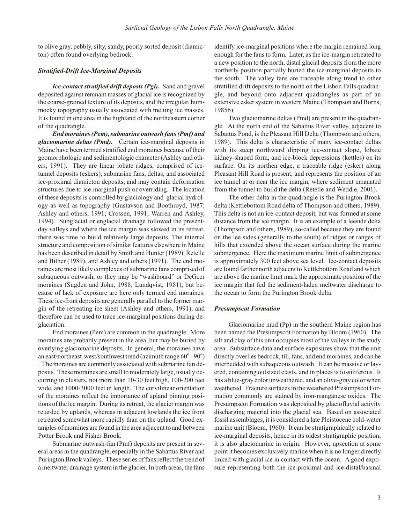to olive gray, pebbly, silty, sandy, poorly sorted deposit (diamicton) often found overlying bedrock.

#### **Stratified-Drift Ice-Marginal Deposits**

*Ice-contact stratified drift deposts (Pgi).* Sand and gravel deposited against remnant masses of glacial ice is recognized by the coarse-grained texture of its deposits, and the irregular, hummocky topography usually associated with melting ice masses. It is found in one area in the highland of the northeastern corner of the quadrangle.

*End moraines (Pem), submarine outwash fans (Pmf) and* glaciomarine deltas (Pmd). Certain ice-marginal deposits in Maine have been termed stratified end moraines because of their geomorphologic and sedimentologic character (Ashley and others, 1991). They are linear lobate ridges, comprised of icetunnel deposits (eskers), submarine fans, deltas, and associated ice-proximal diamicton deposits, and may contain deformation structures due to ice-marginal push or overriding. The location of these deposits is controlled by glaciology and glacial hydrology as well as topography (Gustavson and Boothroyd, 1987; Ashley and others, 1991; Crossen, 1991; Warren and Ashley, 1994). Subglacial or englacial drainage followed the presentday valleys and where the ice margin was slowed in its retreat, there was time to build relatively large deposits. The internal structure and composition of similar features elsewhere in Maine has been described in detail by Smith and Hunter (1989), Retelle and Bither (1989), and Ashley and others (1991). The end moraines are most likely complexes of submarine fans comprised of subaqueous outwash, or they may be "washboard" or DeGeer moraines (Sugden and John, 1988; Lundqvist, 1981), but because of lack of exposure are here only termed end moraines. These ice-front deposits are generally parallel to the former margin of the retreating ice sheet (Ashley and others, 1991), and therefore can be used to trace ice-marginal positions during deglaciation.

End moraines (Pem) are common in the quadrangle. More moraines are probably present in the area, but may be buried by overlying glaciomarine deposits. In general, the moraines have an east/northeast-west/southwest trend (azimuth range  $60^{\circ}$  -  $90^{\circ}$ ) . The moraines are commonly associated with submarine fan deposits. These moraines are small to moderately large, usually occurring in clusters, not more than 10-30 feet high, 100-200 feet wide, and 1000-3000 feet in length. The curvilinear orientation of the moraines reflect the importance of upland pinning positions of the ice margin. During its retreat, the glacier margin was retarded by uplands, whereas in adjacent lowlands the ice front retreated somewhat more rapidly than on the upland. Good examples of moraines are found in the area adjacent to and between Potter Brook and Fisher Brook.

Submarine outwash-fan (Pmf) deposits are present in several areas in the quadrangle, especially in the Sabattus River and Purington Brook valleys. These series of fans reflect the trend of a meltwater drainage system in the glacier. In both areas, the fans identify ice-marginal positions where the margin remained long enough for the fans to form. Later, as the ice-margin retreated to a new position to the north, distal glacial deposits from the more northerly position partially buried the ice-marginal deposits to the south. The valley fans are traceable along trend to other stratified drift deposits to the north on the Lisbon Falls quadrangle, and beyond onto adjacent quadrangles as part of an extensive esker system in western Maine (Thompson and Borns, 1985b).

Two glaciomarine deltas (Pmd) are present in the quadrangle. At the north end of the Sabattus River valley, adjacent to Sabattus Pond, is the Pleasant Hill Delta (Thompson and others, 1989). This delta is characteristic of many ice-contact deltas with its steep northward dipping ice-contact slope, lobate kidney-shaped form, and ice-block depressions (kettles) on its surface. On its northen edge, a traceable ridge (esker) along Pleasant Hill Road is present, and represents the position of an ice tunnel at or near the ice margin, where sediment emanated from the tunnel to build the delta (Retelle and Weddle, 2001).

The other delta in the quadrangle is the Purington Brook delta (Kettlebottom Road delta of Thompson and others, 1989). This delta is not an ice- contact deposit, but was formed at some distance from the ice margin. It is an example of a leeside delta (Thompson and others, 1989), so-called because they are found on the lee sides (generally to the south) of ridges or ranges of hills that extended above the ocean surface during the marine sub mergence. Here the maximum marine limit of submergence is approximately 300 feet above sea level. Ice-contact deposits are found farther north adjacent to Kettlebottom Road and which are above the marine limit mark the approximate position of the ice margin that fed the sediment-laden meltwater discharge to the ocean to form the Purington Brook delta.

#### *Presump scot For ma tion*

Glaciomarine mud  $(Pp)$  in the southern Maine region has been named the Presumpscot Formation by Bloom (1960). The silt and clay of this unit occupies most of the valleys in the study area. Subsurface data and surface exposures show that the unit directly overlies bedrock, till, fans, and end moraines, and can be interbedded with subaqueous outwash. It can be massive or layered, containing outsized clasts, and in places is fossiliferous. It has a blue-gray color unweathered, and an olive-gray color when weathered. Fracture surfaces in the weathered Presumpscot Formation commonly are stained by iron-manganese oxides. The Presumpscot Formation was deposited by glaciofluvial activity discharging material into the glacial sea. Based on associated fossil assemblages, it is considered a late Pleistocene cold-water marine unit (Bloom, 1960). It can be stratigraphically related to ice-marginal deposits, hence in its oldest stratigraphic position, it is also glaciomarine in origin. However, upsection at some point it becomes exclusively marine when it is no longer directly linked with glacial ice in contact with the ocean. A good exposure representing both the ice-proximal and ice-distal/basinal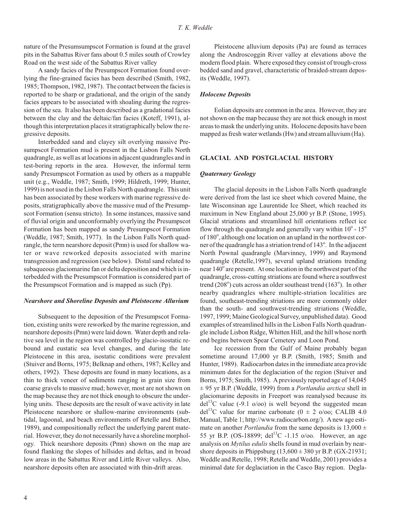nature of the Presum sumpscot Formation is found at the gravel pits in the Sabattus River fans about 0.5 miles south of Crowley Road on the west side of the Sabattus River valley

A sandy facies of the Presumpscot Formation found overlying the fine-grained facies has been described (Smith, 1982, 1985; Thompson, 1982, 1987). The contact between the facies is reported to be sharp or gradational, and the origin of the sandy facies appears to be associated with shoaling during the regression of the sea. It also has been described as a gradational facies between the clay and the deltaic/fan facies (Koteff, 1991), although this interpretation places it stratigraphically below the regressive deposits.

Interbedded sand and clayey silt overlying massive Presumpscot Formation mud is present in the Lisbon Falls North quadrangle, as well as at locations in adjacent quadrangles and in test-boring reports in the area. However, the informal term sandy Presumpscot Formation as used by others as a mappable unit (e.g., Weddle, 1987; Smith, 1999; Hildreth, 1999; Hunter, 1999) is not used in the Lisbon Falls North quadrangle. This unit has been associated by these workers with marine regressive deposits, stratigraphically above the massive mud of the Presumpscot Formation (sensu stricto). In some instances, massive sand of fluvial origin and unconformably overlying the Presumpscot Formation has been mapped as sandy Presumpscot Formation (Weddle, 1987; Smith, 1977). In the Lisbon Falls North quadrangle, the term nearshore deposit (Pmn) is used for shallow water or wave reworked deposits associated with marine transgression and regression (see below). Distal sand related to subaque ous glaciomarine fan or delta deposition and which is interbedded with the Presumpscot Formation is considered part of the Presumpscot Formation and is mapped as such (Pp).

#### *Near shore and Shore line De pos its and Pleis to cene Al lu vium*

Subsequent to the deposition of the Presumpscot Formation, existing units were reworked by the marine regression, and near shore deposits (Pmn) were laid down. Water depth and relative sea level in the region was controlled by glacio-isostatic rebound and eustatic sea level changes, and during the late Pleistocene in this area, isostatic conditions were prevalent (Stuiver and Borns, 1975; Belknap and others, 1987; Kelley and others, 1992). These deposits are found in many locations, as a thin to thick veneer of sediments ranging in grain size from coarse gravels to massive mud; however, most are not shown on the map because they are not thick enough to obscure the underlying units. These deposits are the result of wave activity in late Pleistocene nearshore or shallow-marine environments (subtidal, lagoonal, and beach environments of Retelle and Bither, 1989), and compositionally reflect the underlying parent material. However, they do not necessarily have a shoreline morphology. Thick nearshore deposits (Pmn) shown on the map are found flanking the slopes of hillsides and deltas, and in broad low areas in the Sabattus River and Little River valleys. Also, near shore deposits often are associated with thin-drift areas.

Pleistocene alluvium deposits (Pa) are found as terraces along the Androscoggin River valley at elevations above the modern flood plain. Where exposed they consist of trough-cross bedded sand and gravel, characteristic of braided-stream deposits (Weddle, 1997).

#### *Holo cene De pos its*

Eolian deposits are common in the area. However, they are not shown on the map because they are not thick enough in most areas to mask the underlying units. Holocene deposits have been mapped as fresh water wetlands (Hw) and stream alluvium (Ha).

#### **GLACIAL AND POSTGLACIAL HISTORY**

#### *Qua ter nary Ge ol ogy*

The glacial deposits in the Lisbon Falls North quadrangle were derived from the last ice sheet which covered Maine, the late Wisconsinan age Laurentide Ice Sheet, which reached its maximum in New England about 25,000 yr B.P. (Stone, 1995). Glacial striations and streamlined hill orientations reflect ice flow through the quadrangle and generally vary within  $10^{\circ}$  -  $15^{\circ}$ of 180°, although one location on an upland in the northwest corner of the quadrangle has a striation trend of 143°. In the adjacent North Pownal quadrangle (Marvinney, 1999) and Raymond quadrangle (Retelle,1997), several upland striations trending near 140° are present. At one location in the northwest part of the quadrangle, cross-cutting striations are found where a southwest trend  $(208^{\circ})$  cuts across an older southeast trend  $(163^{\circ})$ . In other nearby quadrangles where multiple-striation localities are found, southeast-trending striations are more commonly older than the south- and southwest-trending striations (Weddle, 1997, 1999; Maine Geological Survey, unpublished data). Good examples of streamlined hills in the Lisbon Falls North quadrangle include Lisbon Ridge, Whitten Hill, and the hill whose north end begins between Spear Cemetery and Loon Pond.

Ice recession from the Gulf of Maine probably began sometime around 17,000 yr B.P. (Smith, 1985; Smith and Hunter, 1989). Radiocarbon dates in the immediate area provide minimum dates for the deglaciation of the region (Stuiver and Borns, 1975; Smith, 1985). A previously reported age of 14,045  $\pm$  95 yr B.P. (Weddle, 1999) from a *Portlandia arctica* shell in glaciomarine deposits in Freeport was reanalysed because its  $\text{del}^{13}$ C value (-9.1 o/oo) is well beyond the suggested mean del<sup>13</sup>C value for marine carbonate (0  $\pm$  2 o/oo; CALIB 4.0 Manual, Table 1; http://www.radiocarbon.org/). A new age estimate on another *Portlandia* from the same deposits is  $13,000 \pm 1$ 55 yr B.P. (OS-18899; del<sup>13</sup>C -1.15 o/oo. However, an age analysis on *Mytilus edulis* shells found in mud overlain by nearshore deposits in Phippsburg  $(13,600 \pm 380 \text{ yr B.P.} (GX-21931;$ Weddle and Retelle, 1998; Retelle and Weddle, 2001) provides a minimal date for deglaciation in the Casco Bay region. Degla-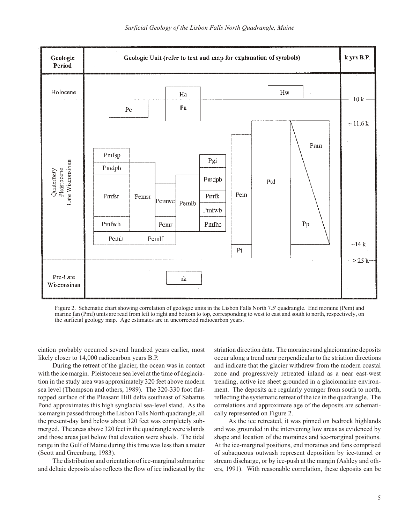

Figure 2. Schematic chart showing correlation of geologic units in the Lisbon Falls North 7.5' quadrangle. End moraine (Pem) and marine fan (Pmf) units are read from left to right and bottom to top, corresponding to west to east and south to north, respectively, on the surficial geology map. Age estimates are in uncorrected radiocarbon years.

ciation probably occurred several hundred years earlier, most likely closer to 14,000 radiocarbon years B.P.

During the retreat of the glacier, the ocean was in contact with the ice margin. Pleistocene sea level at the time of deglaciation in the study area was approximately 320 feet above modern sea level (Thompson and others, 1989). The 320-330 foot flattopped surface of the Pleasant Hill delta southeast of Sabattus Pond approximates this high synglacial sea-level stand. As the ice margin passed through the Lisbon Falls North quadrangle, all the present-day land below about 320 feet was completely submerged. The areas above 320 feet in the quadrangle were islands and those areas just below that elevation were shoals. The tidal range in the Gulf of Maine during this time was less than a meter (Scott and Greenburg, 1983).

The distribution and orientation of ice-marginal submarine and deltaic deposits also reflects the flow of ice indicated by the striation direction data. The moraines and glaciomarine deposits occur along a trend near perpendicular to the striation directions and indicate that the glacier with drew from the modern coastal zone and progressively retreated in land as a near east-west trending, active ice sheet grounded in a glaciomarine environment. The deposits are regularly younger from south to north, reflecting the systematic retreat of the ice in the quadrangle. The correlations and approximate age of the deposits are schematically represented on Figure 2.

As the ice retreated, it was pinned on bedrock highlands and was grounded in the intervening low areas as evidenced by shape and location of the moraines and ice-marginal positions. At the ice-marginal positions, end moraines and fans comprised of subaque ous outwash represent deposition by ice-tunnel or stream discharge, or by ice-push at the margin (Ashley and others, 1991). With reasonable correlation, these deposits can be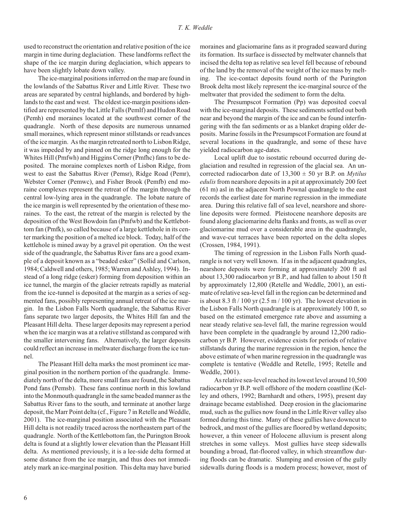used to reconstruct the orientation and relative position of the ice margin in time during deglaciation. These landforms reflect the shape of the ice margin during deglaciation, which appears to have been slightly lobate down valley.

The ice-marginal positions inferred on the map are found in the low lands of the Sabattus River and Little River. These two areas are separated by central highlands, and bordered by highlands to the east and west. The oldest ice-margin positions identified are represented by the Little Falls (Pemlf) and Hudon Road (Pemh) end moraines located at the southwest corner of the quadrangle. North of these deposits are numerous unnamed small moraines, which represent minor still stands or read vances of the ice margin. As the margin retreated north to Lisbon Ridge, it was impeded by and pinned on the ridge long enough for the Whites Hill (Pmfwh) and Higgins Corner (Pmfhc) fans to be deposited. The moraine complexes north of Lisbon Ridge, from west to east the Sabattus River (Pemsr), Ridge Road (Pemr), Webster Corner (Pemwc), and Fisher Brook (Pemfb) end moraine complexes represent the retreat of the margin through the central low-lying area in the quadrangle. The lobate nature of the ice margin is well represented by the orientation of these moraines. To the east, the retreat of the margin is relected by the deposition of the West Bowdoin fan (Pmfwb) and the Kettlebottom fan (Pmfk), so called because of a large kettlehole in its center marking the position of a melted ice block. Today, half of the ket tlehole is mined away by a gravel pit operation. On the west side of the quadrangle, the Sabattus River fans are a good example of a deposit known as a "beaded esker" (Sollid and Carlson, 1984; Caldwell and others, 1985; Warren and Ashley, 1994). Instead of a long ridge (esker) forming from deposition within an ice tunnel, the margin of the glacier retreats rapidly as material from the ice-tunnel is deposited at the margin as a series of segmented fans, possibly representing annual retreat of the ice margin. In the Lisbon Falls North quadrangle, the Sabattus River fans separate two larger deposits, the Whites Hill fan and the Pleasant Hill delta. These larger deposits may represent a period when the ice margin was at a relative still stand as compared with the smaller intervening fans. Alternatively, the larger deposits could reflect an increase in meltwater discharge from the ice tunnel.

The Pleasant Hill delta marks the most prominent ice marginal position in the northern portion of the quadrangle. Immediately north of the delta, more small fans are found, the Sabattus Pond fans (Pemsb). These fans continue north in this lowland into the Monmouth quadrangle in the same beaded manner as the Sabattus River fans to the south, and terminate at another large deposit, the Marr Point delta (cf., Figure 7 in Retelle and Weddle, 2001). The ice-marginal position associated with the Pleasant Hill delta is not readily traced across the northeastern part of the quadrangle. North of the Kettlebottom fan, the Purington Brook delta is found at a slightly lower elevation than the Pleasant Hill delta. As mentioned previously, it is a lee-side delta formed at some distance from the ice margin, and thus does not immediately mark an ice-marginal position. This delta may have buried

moraines and glaciomarine fans as it prograded seaward during its formation. Its surface is dissected by meltwater channels that incised the delta top as relative sea level fell because of rebound of the land by the removal of the weight of the ice mass by melting. The ice-contact deposits found north of the Purington Brook delta most likely represent the ice-marginal source of the meltwater that provided the sediment to form the delta.

The Presumpscot Formation (Pp) was deposited coeval with the ice-marginal deposits. These sediments settled out both near and beyond the margin of the ice and can be found interfingering with the fan sediments or as a blanket draping older deposits. Marine fossils in the Presumpscot Formation are found at several locations in the quadrangle, and some of these have yielded radiocarbon age-dates.

Local uplift due to isostatic rebound occurred during deglaciation and resulted in regression of the glacial sea. An uncorrected radiocarbon date of  $13,300 \pm 50$  yr B.P. on *Mytilus edulis* from nearshore deposits in a pit at approximately 200 feet  $(61 \text{ m})$  asl in the adjacent North Pownal quadrangle to the east records the earliest date for marine regression in the immediate area. During this relative fall of sea level, near shore and shoreline deposits were formed. Pleistocene nearshore deposits are found along glaciomarine delta flanks and fronts, as well as over glaciomarine mud over a considerable area in the quadrangle, and wave-cut terraces have been reported on the delta slopes (Crossen, 1984, 1991).

The timing of regression in the Lisbon Falls North quadrangle is not very well known. If as in the adjacent quadrangles, nearshore deposits were forming at approximately 200 ft asl about 13,300 radiocarbon yr B.P., and had fallen to about 150 ft by approximately 12,800 (Retelle and Weddle, 2001), an estimate of relative sea-level fall in the region can be determined and is about 8.3 ft  $/ 100$  yr  $(2.5 \text{ m} / 100 \text{ yr})$ . The lowest elevation in the Lisbon Falls North quadrangle is at approximately 100 ft, so based on the estimated emergence rate above and assuming a near steady relative sea-level fall, the marine regression would have been complete in the quadrangle by around 12,200 radiocarbon yr B.P. However, evidence exists for periods of relative still stands during the marine regression in the region, hence the above estimate of when marine regression in the quadrangle was complete is tentative (Weddle and Retelle, 1995; Retelle and Weddle, 2001).

As relative sea-level reached its lowest level around 10,500 radiocarbon yr B.P. well offshore of the modern coastline (Kelley and others, 1992; Barnhardt and others, 1995), present day drainage became established. Deep erosion in the glaciomarine mud, such as the gullies now found in the Little River valley also formed during this time. Many of these gullies have downcut to bedrock, and most of the gullies are floored by wetland deposits; however, a thin veneer of Holocene alluvium is present along stretches in some valleys. Most gullies have steep sidewalls bounding a broad, flat-floored valley, in which streamflow during floods can be dramatic. Slumping and erosion of the gully side walls during floods is a modern process; however, most of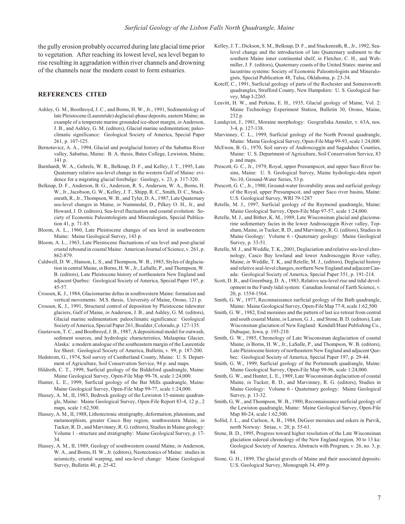the gully erosion probably occurred during late glacial time prior to vegetation. After reaching its lowest level, sea level began to rise resulting in aggradation within river channels and drowning of the channels near the modern coast to form estuaries.

#### **REFERENCES CITED**

- Ashley, G. M., Boothroyd, J. C., and Borns, H. W., Jr., 1991, Sedimentology of late Pleistocene (Laurentide) deglacial-phase deposits, eastern Maine; an example of a temperate marine grounded ice-sheet margin, *in* Anderson, J. B., and Ashley, G. M. (editors), Glacial marine sedimentation; paleoclimatic significance: Geological Society of America, Special Paper 261, p. 107-125.
- Bernotavicz, A. A., 1994, Glacial and postglacial history of the Sabattus River valley, Sabattus, Maine: B. A. thesis, Bates College, Lewiston, Maine, 141 p.
- Barnhardt, W. A., Gehrels, W. R., Belknap, D. F., and Kelley, J. T., 1995, Late Quaternary relative sea-level change in the western Gulf of Maine: evidence for a migrating glacial forebulge: Geology, v. 23, p. 317-320.
- Belknap, D. F., Anderson, B. G., Anderson, R. S., Anderson, W. A., Borns, H. W., Jr., Jacobson, G. W., Kelley, J. T., Shipp, R. C., Smith, D. C., Stuckenrath, R., Jr., Thompson, W. B., and Tyler, D. A., 1987, Late Quaternary sea-level changes in Maine, *in* Nummedal, D., Pilkey O. H., Jr., and Howard, J. D. (editors), Sea-level fluctuation and coastal evolution: Society of Economic Paleontologists and Mineralogists, Special Publication 41, p. 71-85.
- Bloom, A. L., 1960, Late Pleistocene changes of sea level in southwestern Maine: Maine Geological Survey, 143 p.
- Bloom, A. L., 1963, Late Pleistocene fluctuations of sea level and post-glacial crustal rebound in coastal Maine: American Journal of Science, v. 261, p. 862- 879.
- Caldwell, D. W., Hanson, L. S., and Thompson, W. B., 1985, Styles of deglaciation in central Maine, in Borns, H. W., Jr., LaSalle, P., and Thompson, W. B. (editors), Late Pleistocene history of northeastern New England and adjacent Quebec: Geological Society of America, Special Paper 197, p. 45- 57.
- Crossen, K. J., 1984, Glaciomarine deltas in southwestern Maine: formation and vertical movements: M.S. thesis, University of Maine, Orono, 121 p.
- Crossen, K. J., 1991, Structural control of deposition by Pleistocene tidewater glaciers, Gulf of Maine, *in* Anderson, J. B., and Ashley, G. M. (editors), Glacial marine sedimentation: paleoclimatic significance: Geological Society of America, Special Paper 261, Boulder, Colorado, p. 127-135.
- Gustavson, T. C., and Boothroyd, J. B., 1987, A depositional model for outwash, sediment sources, and hydrologic characteristics, Malaspina Glacier, Alaska: a modern analogue of the southeastern margin of the Laurentide Ice Sheet: Geological Society of America, Bulletin, v. 99, p. 187-200.
- Hedstrom, G., 1974, Soil survey of Cumberland County, Maine: U. S. Department of Agriculture, Soil Conservation Service, 94 p. and maps.
- Hildreth, C. T., 1999, Surficial geology of the Biddeford quadrangle, Maine: Maine Geological Survey, Open-File Map 99-78, scale 1:24,000.
- Hunter, L. E., 1999, Surficial geology of the Bar Mills quadrangle, Maine: Maine Geological Survey, Open-File Map 99-77, scale 1:24,000.
- Hussey, A. M., II, 1983, Bedrock geology of the Lewiston 15-minute quadrangle, Maine: Maine Geological Survey, Open-File Report 83-4, 12 p., 2 maps, scale 1:62,500.
- Hussey, A. M., II, 1988, Lithotectonic stratigraphy, deformation, plutonism, and metamorphism, greater Casco Bay region, southwestern Maine, in Tucker, R. D., and Marvinney, R. G. (editors), Studies in Maine geology: Volume 1 - structure and stratigraphy: Maine Geological Survey, p. 17-34.
- Hussey, A. M., II, 1989, Geology of southwestern coastal Maine, *in* Anderson. W. A., and Borns, H. W., Jr. (editors), Neotectonics of Maine: studies in seismicity, crustal warping, and sea-level change: Maine Geological Survey, Bulletin 40, p. 25-42.
- Kelley, J. T., Dickson, S. M., Belknap, D. F., and Stuckenrath, R., Jr., 1992, Sealevel change and the introduction of late Quaternary sediment to the southern Maine inner continental shelf, *in* Fletcher, C. H., and Wehmiller, J. F. (editors), Quaternary coasts of the United States: marine and lacustrine systems: Society of Economic Paleontologists and Mineralogists, Special Publication 48, Tulsa, Oklahoma, p. 23-34.
- Koteff, C., 1991, Surficial geology of parts of the Rochester and Somersworth quadrangles, Strafford County, New Hampshire: U. S. Geological Survey, Map I-2265.
- Leavitt, H. W., and Perkins, E. H., 1935, Glacial geology of Maine, Vol. 2: Maine Technology Experiment Station, Bulletin 30, Orono, Maine, 232 p.
- Lundqvist, J., 1981, Moraine morphology: Geografiska Annaler, v. 63A, nos. 3-4, p. 127- 138.
- Marvinney, C. L., 1999, Surficial geology of the North Pownal quadrangle, Maine: Maine Geological Survey, Open-File Map 99-93, scale 1:24,000.
- McEwen, B. G., 1970, Soil survey of Androscoggin and Sagadahoc Counties, Maine: U. S. Department of Agriculture, Soil Conservation Service, 83 p. and maps.
- Prescott, G. C., Jr., 1979, Royal, upper Presumpscot, and upper Saco River basins, Maine: U. S. Geological Survey, Maine hydrologic-data report No.10, Ground-Water Series, 53 p.
- Prescott, G. C., Jr., 1980, Ground-water favorability areas and surficial geology of the Royal, upper Presumpscot, and upper Saco river basins, Maine: U.S. Geological Survey, WRI 79-1287
- Retelle, M. J., 1997, Surficial geology of the Raymond quadrangle, Maine: Maine Geological Survey, Open-File Map 97-57, scale 1:24,000.
- Retelle, M. J., and Bither, K. M., 1989, Late Wisconsinan glacial and glaciomarine sedimentary facies in the lower Androscoggin River valley, Topsham, Maine, in Tucker, R. D., and Marvinney, R. G. (editors), Studies in Maine Geology: Volume 6 - Quaternary geology: Maine Geological Survey, p. 33-51.
- Retelle, M. J., and Weddle, T. K., 2001, Deglaciation and relative sea-level chronology, Casco Bay lowland and lower Androscoggin River valley, Maine, *in* Weddle, T. K., and Retelle, M. J., (editors), Deglacial history and relative seal-level changes, northern New England and adjacent Canada: Geological Society of America, Special Paper 351, p. 191-214.
- Scott, D. B., and Greenburg, D. A., 1983, Relative sea-level rise and tidal development in the Fundy tidal system: Canadian Journal of Earth Science, v. 20, p. 1554-1564.
- Smith, G. W., 1977, Reconnaissance surficial geology of the Bath quadrangle, Maine: Maine Geological Survey, Open-File Map 77-8, scale 1:62,500.
- Smith, G. W., 1982, End moraines and the pattern of last ice retreat from central and south coastal Maine, in Larson, G. J., and Stone, B. D. (editors), Late Wisconsinan glaciation of New England: Kendall/Hunt Publishing Co., Dubuque, Iowa, p. 195-210.
- Smith, G. W., 1985, Chronology of Late Wisconsinan deglaciation of coastal Maine, *in* Borns, H. W., Jr., LaSalle, P., and Thompson, W. B. (editors), Late Pleistocene history of northeastern New England and adjacent Quebec: Geological Society of America, Special Paper 197, p. 29-44.
- Smith, G. W., 1999, Surficial geology of the Portsmouth quadrangle, Maine: Maine Geological Survey, Open-File Map 99-96, scale 1:24,000.
- Smith, G. W., and Hunter, L. E., 1989, Late Wisconsinan deglaciation of coastal Maine, in Tucker, R. D., and Marvinney, R. G. (editors), Studies in Maine Geology: Volume 6 - Quaternary geology: Maine Geological Survey, p. 13-32.
- Smith, G, W., and Thompson, W. B., 1980, Reconnaissance surficial geology of the Lewiston quadrangle, Maine: Maine Geological Survey, Open-File Map 80-24, scale 1:62,500.
- Sollid, J. L., and Carlson, A. B., 1984, DeGeer moraines and eskers in Parvik, north Norway: Striae, v. 20, p. 55-61.
- Stone, B. D., 1995, Progress toward higher resolution of the Late Wisconsinan glaciation sidereal chronology of the New England region, 30 to 13 ka: Geological Society of America, Abstracts with Program, v. 26, no. 3, p. 84.
- Stone, G. H., 1899, The glacial gravels of Maine and their associated deposits: U.S. Geological Survey, Monograph 34, 499 p.